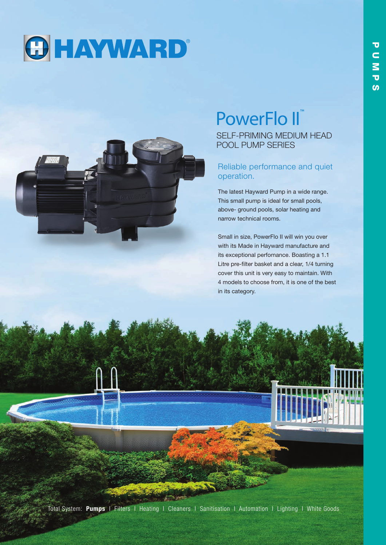



# PowerFlo II™

SELF-PRIMING MEDIUM HEAD POOL PUMP SERIES

# Reliable performance and quiet operation.

The latest Hayward Pump in a wide range. This small pump is ideal for small pools, above- ground pools, solar heating and narrow technical rooms.

Small in size, PowerFlo II will win you over with its Made in Hayward manufacture and its exceptional perfomance. Boasting a 1.1 Litre pre-filter basket and a clear, 1/4 turning cover this unit is very easy to maintain. With 4 models to choose from, it is one of the best in its category.

Total System: Pumps I Filters I Heating I Cleaners I Sanitisation I Automation I Lighting I White Goods